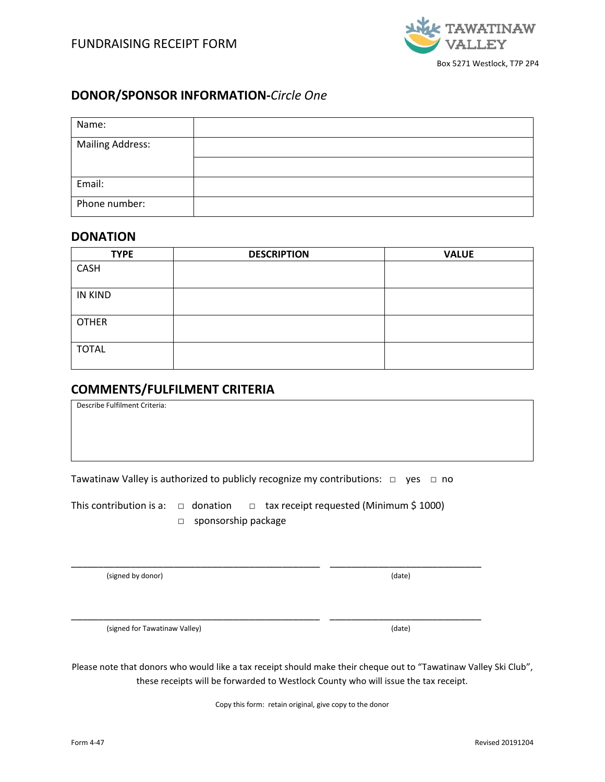

## **DONOR/SPONSOR INFORMATION-***Circle One*

| Name:            |  |
|------------------|--|
| Mailing Address: |  |
|                  |  |
| Email:           |  |
| Phone number:    |  |

### **DONATION**

| <b>TYPE</b>  | <b>DESCRIPTION</b> | <b>VALUE</b> |
|--------------|--------------------|--------------|
| CASH         |                    |              |
| IN KIND      |                    |              |
| <b>OTHER</b> |                    |              |
| <b>TOTAL</b> |                    |              |

# **COMMENTS/FULFILMENT CRITERIA**

Describe Fulfilment Criteria:

Tawatinaw Valley is authorized to publicly recognize my contributions: □ yes □ no

This contribution is a:  $\Box$  donation  $\Box$  tax receipt requested (Minimum \$ 1000)

\_\_\_\_\_\_\_\_\_\_\_\_\_\_\_\_\_\_\_\_\_\_\_\_\_\_\_\_\_\_\_\_\_\_\_\_\_\_\_\_\_\_\_\_\_\_ \_\_\_\_\_\_\_\_\_\_\_\_\_\_\_\_\_\_\_\_\_\_\_\_\_\_\_\_

\_\_\_\_\_\_\_\_\_\_\_\_\_\_\_\_\_\_\_\_\_\_\_\_\_\_\_\_\_\_\_\_\_\_\_\_\_\_\_\_\_\_\_\_\_\_ \_\_\_\_\_\_\_\_\_\_\_\_\_\_\_\_\_\_\_\_\_\_\_\_\_\_\_\_

□ sponsorship package

(signed by donor) (date)

(signed for Tawatinaw Valley) (date)

Please note that donors who would like a tax receipt should make their cheque out to "Tawatinaw Valley Ski Club", these receipts will be forwarded to Westlock County who will issue the tax receipt.

Copy this form: retain original, give copy to the donor